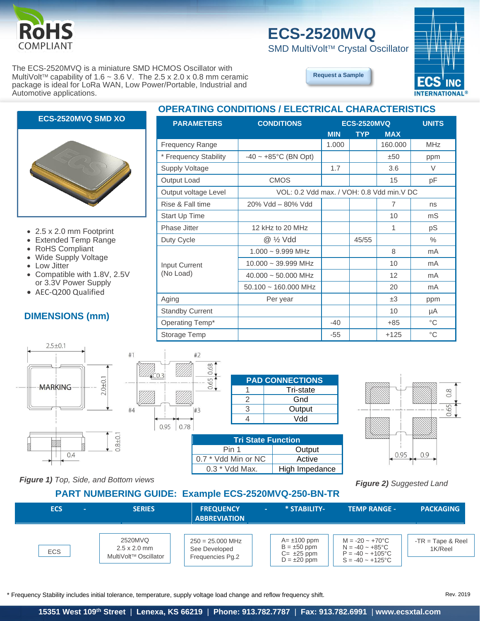

#### The ECS-2520MVQ is a miniature SMD HCMOS Oscillator with MultiVolt<sup>™</sup> capability of 1.6 ~ 3.6 V. The 2.5 x 2.0 x 0.8 mm ceramic package is ideal for LoRa WAN, Low Power/Portable, Industrial and Automotive applications.

## **ECS-2520MVQ**

**PARAMETERS CONDITIONS ECS-2520MVQ UNITS**

Frequency Range  $\vert$  1.000 | 160.000 | MHz \* Frequency Stability  $\begin{vmatrix} -40 \sim +85^{\circ} \text{C} \ (BN \text{ Opt}) \end{vmatrix}$   $\begin{vmatrix} \pm 50 \\ \pm 50 \end{vmatrix}$  ppm Supply Voltage | and 1.7 | 3.6 | V Output Load **contact CMOS** 15 pF Output voltage Level | VOL: 0.2 Vdd max. / VOH: 0.8 Vdd min. V DC Rise & Fall time 20% Vdd – 80% Vdd 7 ns Start Up Time 10 mS Phase Jitter 12 kHz to 20 MHz 1 pS Duty Cycle @ ½ Vdd 45/55 %

Aging Per year ±3 ppm Standby Current 10 pm and 10 pm and 10 pm and 10 pm and 10 pm and 10 pm and 10 pm and 10 pm and 10 pm and 10 pm and 10 pm and 10 pm and 10 pm and 10 pm and 10 pm and 10 pm and 10 pm and 10 pm and 10 pm and 10 pm and 10 pm Operating Temp\* -40 +85 °C

SMD MultiVolt<sup>™</sup> Crystal Oscillator



**[Request a Sample](http://ecsxtalportal.com/samplepilot/samplerequest.php)**

1.000 ~ 9.999 MHz 8 mA 10.000 ~ 39.999 MHz | | | 10 | mA 40.000 ~ 50.000 MHz 12 mA 50.100 ~ 160.000 MHz 20 mA

**MIN TYP MAX**

## **ECS-2520MVQ SMD XO**



- 2.5 x 2.0 mm Footprint
- Extended Temp Range
- RoHS Compliant
- Wide Supply Voltage
- Low Jitter
- Compatible with 1.8V, 2.5V or 3.3V Power Supply
- AEC-Q200 Qualified

#### **DIMENSIONS (mm)**



| Storage Temp                                         |                           |                                                             | $-55$ | $+125$ | °С  |
|------------------------------------------------------|---------------------------|-------------------------------------------------------------|-------|--------|-----|
| #2<br>#1<br>0.68<br>0.65<br>#4<br>#3<br>0.78<br>0.95 | $\overline{2}$<br>3<br>4  | <b>PAD CONNECTIONS</b><br>Tri-state<br>Gnd<br>Output<br>Vdd |       |        |     |
|                                                      | <b>Tri State Function</b> |                                                             |       |        |     |
|                                                      | Pin 1                     | Output                                                      |       | 0.95   | 0.9 |
|                                                      | $0.7$ * Vdd Min or NC.    | Active                                                      |       |        |     |

Input Current (No Load)

|                     | $\overline{2}$            | Gnd            |  |  |  |  |  |
|---------------------|---------------------------|----------------|--|--|--|--|--|
| 3                   | 3                         | Output         |  |  |  |  |  |
|                     |                           | Vdd            |  |  |  |  |  |
|                     |                           |                |  |  |  |  |  |
|                     | <b>Tri State Function</b> |                |  |  |  |  |  |
| Pin 1<br>Output     |                           |                |  |  |  |  |  |
| 0.7 * Vdd Min or NC |                           | Active         |  |  |  |  |  |
|                     | 0.3 * Vdd Max.            | High Impedance |  |  |  |  |  |



*Figure 1) Top, Side, and Bottom views*

#### **PART NUMBERING GUIDE: Example ECS-2520MVQ-250-BN-TR**

*Figure 2) Suggested Land* 

| <b>ECS</b><br><b>COLLEGE</b> | <b>SERIES</b>                                                       | <b>FREQUENCY</b><br><b>ABBREVIATION</b>                 | * STABILITY-<br>$\sim$                                                        | <b>TEMP RANGE -</b>                                                                                                     | <b>PACKAGING</b>               |
|------------------------------|---------------------------------------------------------------------|---------------------------------------------------------|-------------------------------------------------------------------------------|-------------------------------------------------------------------------------------------------------------------------|--------------------------------|
| ECS                          | 2520MVQ<br>$2.5 \times 2.0$ mm<br>MultiVolt <sup>™</sup> Oscillator | $250 = 25.000$ MHz<br>See Developed<br>Frequencies Pg.2 | $A = \pm 100$ ppm<br>$B = \pm 50$ ppm<br>$C = \pm 25$ ppm<br>$D = \pm 20$ ppm | $M = -20 \sim +70^{\circ}C$<br>$N = -40 \sim +85^{\circ}C$<br>$P = -40 \approx +105^{\circ}C$<br>$S = -40 \sim +125$ °C | $-TR = Tape & Reel$<br>1K/Reel |

\* Frequency Stability includes initial tolerance, temperature, supply voltage load change and reflow frequency shift. Rev. 2019